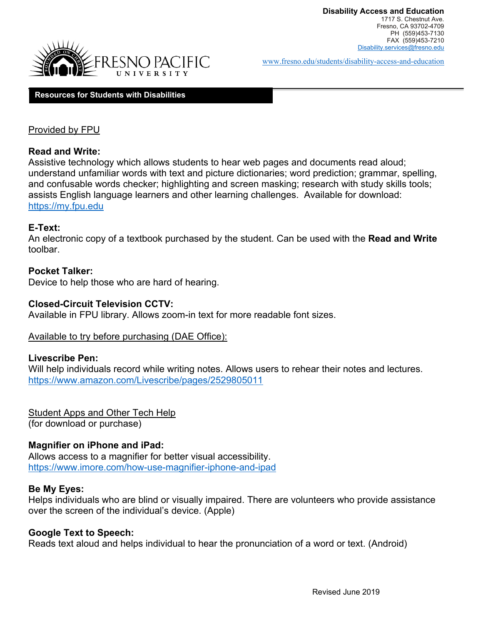

[www.fresno.edu/students/disability-access-and-education](http://www.fresno.edu/students/disability-access-and-education)

#### **Resources for Students with Disabilities**

## Provided by FPU

## **Read and Write:**

Assistive technology which allows students to hear web pages and documents read aloud; understand unfamiliar words with text and picture dictionaries; word prediction; grammar, spelling, and confusable words checker; highlighting and screen masking; research with study skills tools; assists English language learners and other learning challenges. Available for download: [https://my.fpu.edu](https://my.fpu.edu/) 

## **E-Text:**

An electronic copy of a textbook purchased by the student. Can be used with the **Read and Write** toolbar.

## **Pocket Talker:**

Device to help those who are hard of hearing.

## **Closed-Circuit Television CCTV:**

Available in FPU library. Allows zoom-in text for more readable font sizes.

## Available to try before purchasing (DAE Office):

## **Livescribe Pen:**

Will help individuals record while writing notes. Allows users to rehear their notes and lectures. <https://www.amazon.com/Livescribe/pages/2529805011>

Student Apps and Other Tech Help (for download or purchase)

## **Magnifier on iPhone and iPad:**

Allows access to a magnifier for better visual accessibility. <https://www.imore.com/how-use-magnifier-iphone-and-ipad>

## **Be My Eyes:**

Helps individuals who are blind or visually impaired. There are volunteers who provide assistance over the screen of the individual's device. (Apple)

## **Google Text to Speech:**

Reads text aloud and helps individual to hear the pronunciation of a word or text. (Android)